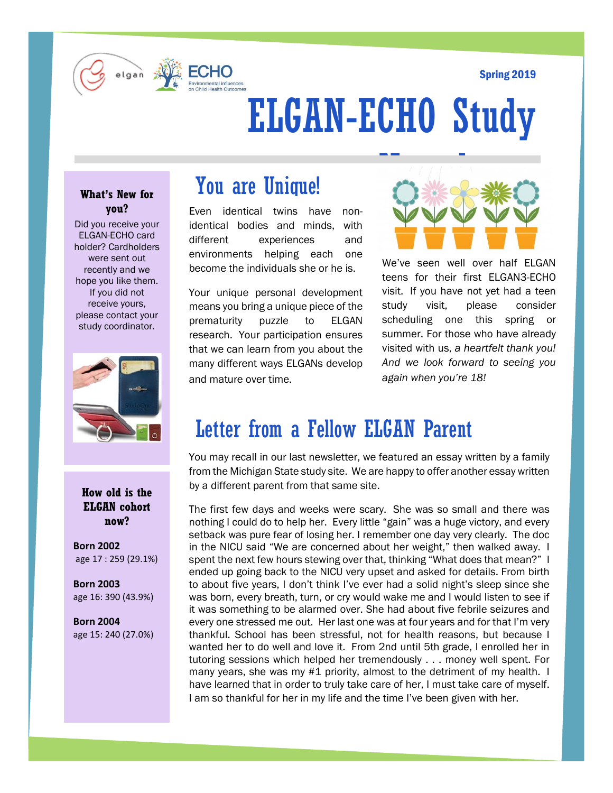#### Spring 2019



# ELGAN-ECHO Study

### **What's New for you?**

Did you receive your ELGAN-ECHO card holder? Cardholders were sent out recently and we hope you like them. If you did not receive yours, please contact your study coordinator.



### **How old is the ELGAN cohort now?**

**Born 2002** age 17 : 259 (29.1%)

**Born 2003**  age 16: 390 (43.9%)

**Born 2004**  age 15: 240 (27.0%)

# You are Unique!

Even identical twins have nonidentical bodies and minds, with different experiences and environments helping each one become the individuals she or he is.

Your unique personal development means you bring a unique piece of the prematurity puzzle to ELGAN research. Your participation ensures that we can learn from you about the many different ways ELGANs develop and mature over time.



We've seen well over half ELGAN teens for their first ELGAN3-ECHO visit. If you have not yet had a teen study visit, please consider scheduling one this spring or summer. For those who have already visited with us, *a heartfelt thank you! And we look forward to seeing you again when you're 18!* 

# Letter from a Fellow ELGAN Parent

You may recall in our last newsletter, we featured an essay written by a family from the Michigan State study site. We are happy to offer another essay written by a different parent from that same site.

The first few days and weeks were scary. She was so small and there was nothing I could do to help her. Every little "gain" was a huge victory, and every setback was pure fear of losing her. I remember one day very clearly. The doc in the NICU said "We are concerned about her weight," then walked away. I spent the next few hours stewing over that, thinking "What does that mean?" I ended up going back to the NICU very upset and asked for details. From birth to about five years, I don't think I've ever had a solid night's sleep since she was born, every breath, turn, or cry would wake me and I would listen to see if it was something to be alarmed over. She had about five febrile seizures and every one stressed me out. Her last one was at four years and for that I'm very thankful. School has been stressful, not for health reasons, but because I wanted her to do well and love it. From 2nd until 5th grade, I enrolled her in tutoring sessions which helped her tremendously . . . money well spent. For many years, she was my #1 priority, almost to the detriment of my health. I have learned that in order to truly take care of her, I must take care of myself. I am so thankful for her in my life and the time I've been given with her.